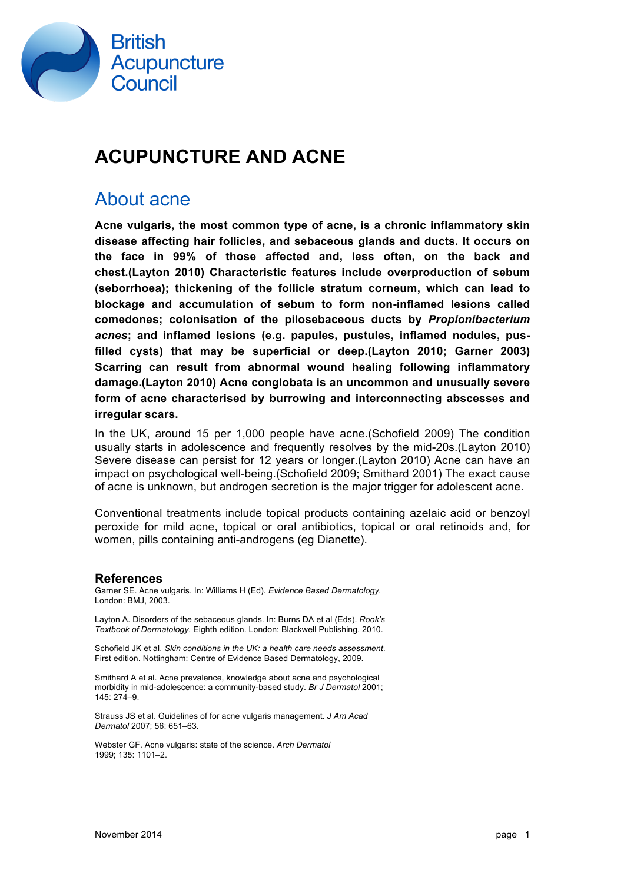

## **ACUPUNCTURE AND ACNE**

#### About acne

**Acne vulgaris, the most common type of acne, is a chronic inflammatory skin disease affecting hair follicles, and sebaceous glands and ducts. It occurs on the face in 99% of those affected and, less often, on the back and chest.(Layton 2010) Characteristic features include overproduction of sebum (seborrhoea); thickening of the follicle stratum corneum, which can lead to blockage and accumulation of sebum to form non-inflamed lesions called comedones; colonisation of the pilosebaceous ducts by** *Propionibacterium acnes***; and inflamed lesions (e.g. papules, pustules, inflamed nodules, pusfilled cysts) that may be superficial or deep.(Layton 2010; Garner 2003) Scarring can result from abnormal wound healing following inflammatory damage.(Layton 2010) Acne conglobata is an uncommon and unusually severe form of acne characterised by burrowing and interconnecting abscesses and irregular scars.**

In the UK, around 15 per 1,000 people have acne.(Schofield 2009) The condition usually starts in adolescence and frequently resolves by the mid-20s.(Layton 2010) Severe disease can persist for 12 years or longer.(Layton 2010) Acne can have an impact on psychological well-being.(Schofield 2009; Smithard 2001) The exact cause of acne is unknown, but androgen secretion is the major trigger for adolescent acne.

Conventional treatments include topical products containing azelaic acid or benzoyl peroxide for mild acne, topical or oral antibiotics, topical or oral retinoids and, for women, pills containing anti-androgens (eg Dianette).

#### **References**

Garner SE. Acne vulgaris. In: Williams H (Ed). *Evidence Based Dermatology.* London: BMJ, 2003.

Layton A. Disorders of the sebaceous glands. In: Burns DA et al (Eds). *Rook's Textbook of Dermatology.* Eighth edition. London: Blackwell Publishing, 2010.

Schofield JK et al. *Skin conditions in the UK: a health care needs assessment*. First edition. Nottingham: Centre of Evidence Based Dermatology, 2009.

Smithard A et al. Acne prevalence, knowledge about acne and psychological morbidity in mid-adolescence: a community-based study. *Br J Dermatol* 2001; 145: 274–9.

Strauss JS et al. Guidelines of for acne vulgaris management. *J Am Acad Dermatol* 2007; 56: 651–63.

Webster GF. Acne vulgaris: state of the science. *Arch Dermatol* 1999; 135: 1101–2.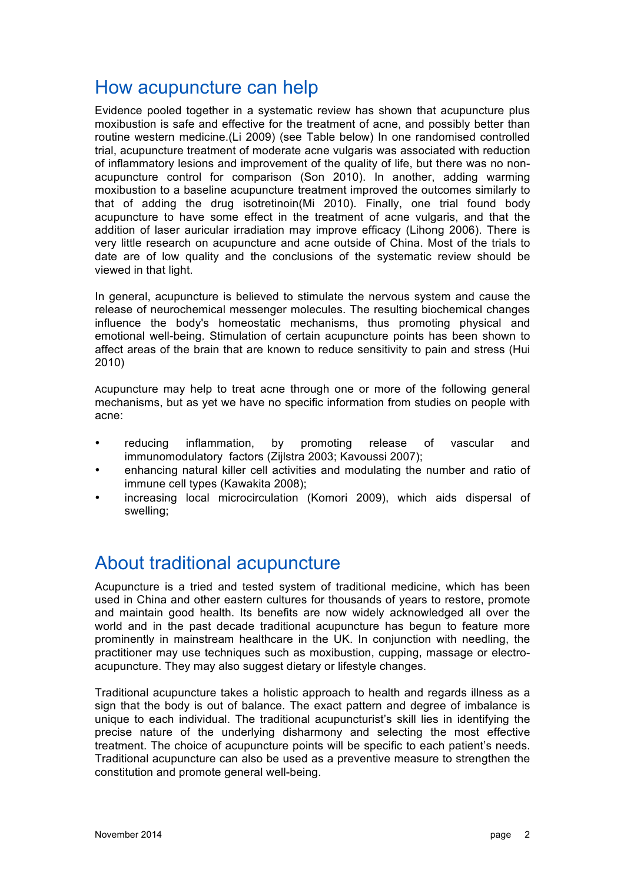### How acupuncture can help

Evidence pooled together in a systematic review has shown that acupuncture plus moxibustion is safe and effective for the treatment of acne, and possibly better than routine western medicine.(Li 2009) (see Table below) In one randomised controlled trial, acupuncture treatment of moderate acne vulgaris was associated with reduction of inflammatory lesions and improvement of the quality of life, but there was no nonacupuncture control for comparison (Son 2010). In another, adding warming moxibustion to a baseline acupuncture treatment improved the outcomes similarly to that of adding the drug isotretinoin(Mi 2010). Finally, one trial found body acupuncture to have some effect in the treatment of acne vulgaris, and that the addition of laser auricular irradiation may improve efficacy (Lihong 2006). There is very little research on acupuncture and acne outside of China. Most of the trials to date are of low quality and the conclusions of the systematic review should be viewed in that light.

In general, acupuncture is believed to stimulate the nervous system and cause the release of neurochemical messenger molecules. The resulting biochemical changes influence the body's homeostatic mechanisms, thus promoting physical and emotional well-being. Stimulation of certain acupuncture points has been shown to affect areas of the brain that are known to reduce sensitivity to pain and stress (Hui 2010)

Acupuncture may help to treat acne through one or more of the following general mechanisms, but as yet we have no specific information from studies on people with acne:

- reducing inflammation, by promoting release of vascular and immunomodulatory factors (Zijlstra 2003; Kavoussi 2007);
- enhancing natural killer cell activities and modulating the number and ratio of immune cell types (Kawakita 2008);
- increasing local microcirculation (Komori 2009), which aids dispersal of swelling;

### About traditional acupuncture

Acupuncture is a tried and tested system of traditional medicine, which has been used in China and other eastern cultures for thousands of years to restore, promote and maintain good health. Its benefits are now widely acknowledged all over the world and in the past decade traditional acupuncture has begun to feature more prominently in mainstream healthcare in the UK. In conjunction with needling, the practitioner may use techniques such as moxibustion, cupping, massage or electroacupuncture. They may also suggest dietary or lifestyle changes.

Traditional acupuncture takes a holistic approach to health and regards illness as a sign that the body is out of balance. The exact pattern and degree of imbalance is unique to each individual. The traditional acupuncturist's skill lies in identifying the precise nature of the underlying disharmony and selecting the most effective treatment. The choice of acupuncture points will be specific to each patient's needs. Traditional acupuncture can also be used as a preventive measure to strengthen the constitution and promote general well-being.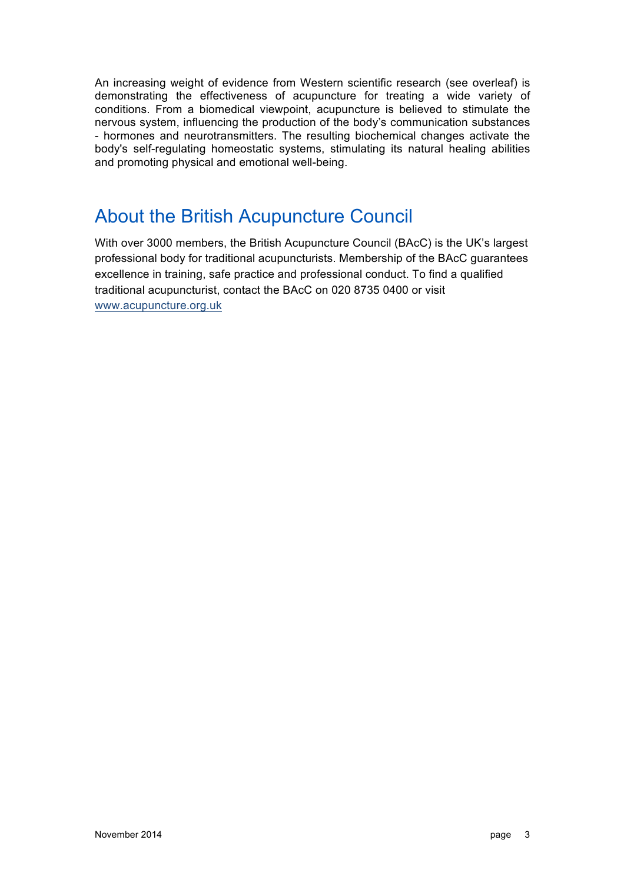An increasing weight of evidence from Western scientific research (see overleaf) is demonstrating the effectiveness of acupuncture for treating a wide variety of conditions. From a biomedical viewpoint, acupuncture is believed to stimulate the nervous system, influencing the production of the body's communication substances - hormones and neurotransmitters. The resulting biochemical changes activate the body's self-regulating homeostatic systems, stimulating its natural healing abilities and promoting physical and emotional well-being.

### About the British Acupuncture Council

With over 3000 members, the British Acupuncture Council (BAcC) is the UK's largest professional body for traditional acupuncturists. Membership of the BAcC guarantees excellence in training, safe practice and professional conduct. To find a qualified traditional acupuncturist, contact the BAcC on 020 8735 0400 or visit www.acupuncture.org.uk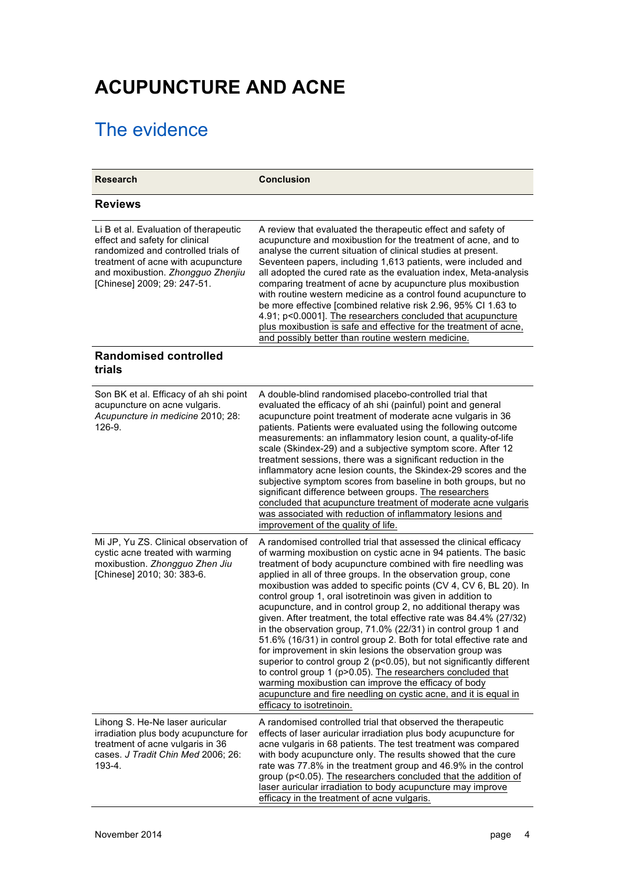# **ACUPUNCTURE AND ACNE**

## The evidence

| <b>Research</b>                                                                                                                                                                                                          | <b>Conclusion</b>                                                                                                                                                                                                                                                                                                                                                                                                                                                                                                                                                                                                                                                                                                                                                                                                                                                                                                                                                                                                                                         |
|--------------------------------------------------------------------------------------------------------------------------------------------------------------------------------------------------------------------------|-----------------------------------------------------------------------------------------------------------------------------------------------------------------------------------------------------------------------------------------------------------------------------------------------------------------------------------------------------------------------------------------------------------------------------------------------------------------------------------------------------------------------------------------------------------------------------------------------------------------------------------------------------------------------------------------------------------------------------------------------------------------------------------------------------------------------------------------------------------------------------------------------------------------------------------------------------------------------------------------------------------------------------------------------------------|
| <b>Reviews</b>                                                                                                                                                                                                           |                                                                                                                                                                                                                                                                                                                                                                                                                                                                                                                                                                                                                                                                                                                                                                                                                                                                                                                                                                                                                                                           |
| Li B et al. Evaluation of therapeutic<br>effect and safety for clinical<br>randomized and controlled trials of<br>treatment of acne with acupuncture<br>and moxibustion. Zhongguo Zhenjiu<br>[Chinese] 2009; 29: 247-51. | A review that evaluated the therapeutic effect and safety of<br>acupuncture and moxibustion for the treatment of acne, and to<br>analyse the current situation of clinical studies at present.<br>Seventeen papers, including 1,613 patients, were included and<br>all adopted the cured rate as the evaluation index, Meta-analysis<br>comparing treatment of acne by acupuncture plus moxibustion<br>with routine western medicine as a control found acupuncture to<br>be more effective [combined relative risk 2.96, 95% CI 1.63 to<br>4.91; p<0.0001]. The researchers concluded that acupuncture<br>plus moxibustion is safe and effective for the treatment of acne,<br>and possibly better than routine western medicine.                                                                                                                                                                                                                                                                                                                        |
| <b>Randomised controlled</b><br>trials                                                                                                                                                                                   |                                                                                                                                                                                                                                                                                                                                                                                                                                                                                                                                                                                                                                                                                                                                                                                                                                                                                                                                                                                                                                                           |
| Son BK et al. Efficacy of ah shi point<br>acupuncture on acne vulgaris.<br>Acupuncture in medicine 2010; 28:<br>126-9.                                                                                                   | A double-blind randomised placebo-controlled trial that<br>evaluated the efficacy of ah shi (painful) point and general<br>acupuncture point treatment of moderate acne vulgaris in 36<br>patients. Patients were evaluated using the following outcome<br>measurements: an inflammatory lesion count, a quality-of-life<br>scale (Skindex-29) and a subjective symptom score. After 12<br>treatment sessions, there was a significant reduction in the<br>inflammatory acne lesion counts, the Skindex-29 scores and the<br>subjective symptom scores from baseline in both groups, but no<br>significant difference between groups. The researchers<br>concluded that acupuncture treatment of moderate acne vulgaris<br>was associated with reduction of inflammatory lesions and<br>improvement of the quality of life.                                                                                                                                                                                                                               |
| Mi JP, Yu ZS. Clinical observation of<br>cystic acne treated with warming<br>moxibustion. Zhongguo Zhen Jiu<br>[Chinese] 2010; 30: 383-6.                                                                                | A randomised controlled trial that assessed the clinical efficacy<br>of warming moxibustion on cystic acne in 94 patients. The basic<br>treatment of body acupuncture combined with fire needling was<br>applied in all of three groups. In the observation group, cone<br>moxibustion was added to specific points (CV 4, CV 6, BL 20). In<br>control group 1, oral isotretinoin was given in addition to<br>acupuncture, and in control group 2, no additional therapy was<br>given. After treatment, the total effective rate was 84.4% (27/32)<br>in the observation group, 71.0% (22/31) in control group 1 and<br>51.6% (16/31) in control group 2. Both for total effective rate and<br>for improvement in skin lesions the observation group was<br>superior to control group 2 (p<0.05), but not significantly different<br>to control group 1 (p>0.05). The researchers concluded that<br>warming moxibustion can improve the efficacy of body<br>acupuncture and fire needling on cystic acne, and it is equal in<br>efficacy to isotretinoin. |
| Lihong S. He-Ne laser auricular<br>irradiation plus body acupuncture for<br>treatment of acne vulgaris in 36<br>cases. J Tradit Chin Med 2006; 26:<br>193-4.                                                             | A randomised controlled trial that observed the therapeutic<br>effects of laser auricular irradiation plus body acupuncture for<br>acne vulgaris in 68 patients. The test treatment was compared<br>with body acupuncture only. The results showed that the cure<br>rate was 77.8% in the treatment group and 46.9% in the control<br>group (p<0.05). The researchers concluded that the addition of<br>laser auricular irradiation to body acupuncture may improve<br>efficacy in the treatment of acne vulgaris.                                                                                                                                                                                                                                                                                                                                                                                                                                                                                                                                        |